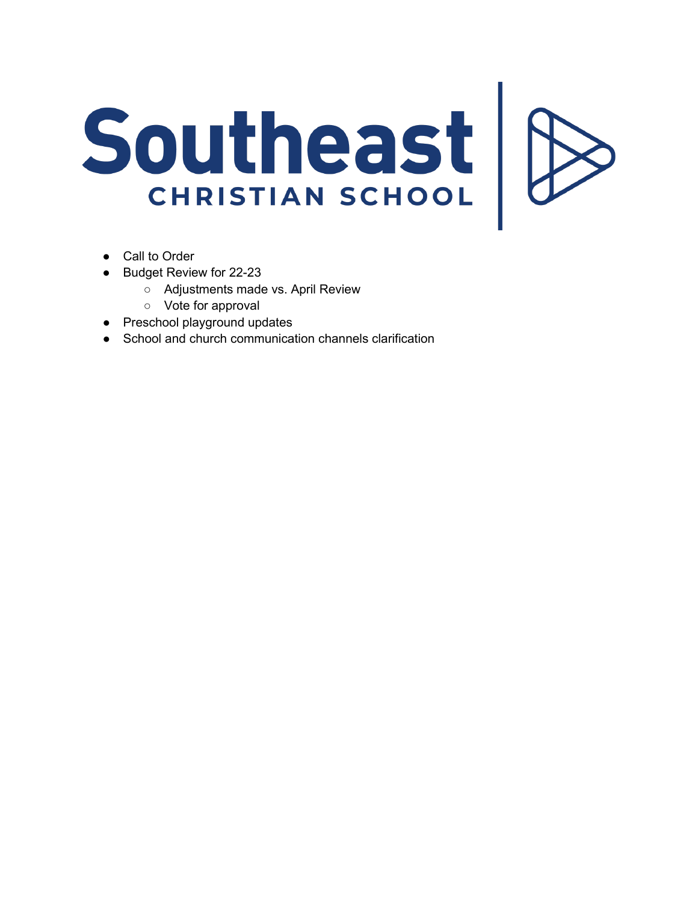## Southeast

- Call to Order
- Budget Review for 22-23
	- Adjustments made vs. April Review
	- Vote for approval
- **Preschool playground updates**
- School and church communication channels clarification